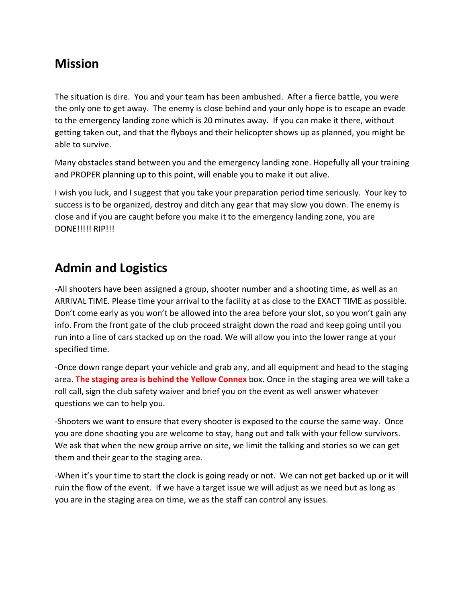# **Mission**

The situation is dire. You and your team has been ambushed. After a fierce battle, you were the only one to get away. The enemy is close behind and your only hope is to escape an evade to the emergency landing zone which is 20 minutes away. If you can make it there, without getting taken out, and that the flyboys and their helicopter shows up as planned, you might be able to survive.

Many obstacles stand between you and the emergency landing zone. Hopefully all your training and PROPER planning up to this point, will enable you to make it out alive.

I wish you luck, and I suggest that you take your preparation period time seriously. Your key to success is to be organized, destroy and ditch any gear that may slow you down. The enemy is close and if you are caught before you make it to the emergency landing zone, you are DONE!!!!! RIP!!!

# **Admin and Logistics**

-All shooters have been assigned a group, shooter number and a shooting time, as well as an ARRIVAL TIME. Please time your arrival to the facility at as close to the EXACT TIME as possible. Don't come early as you won't be allowed into the area before your slot, so you won't gain any info. From the front gate of the club proceed straight down the road and keep going until you run into a line of cars stacked up on the road. We will allow you into the lower range at your specified time.

-Once down range depart your vehicle and grab any, and all equipment and head to the staging area. **The staging area is behind the Yellow Connex** box. Once in the staging area we will take a roll call, sign the club safety waiver and brief you on the event as well answer whatever questions we can to help you.

-Shooters we want to ensure that every shooter is exposed to the course the same way. Once you are done shooting you are welcome to stay, hang out and talk with your fellow survivors. We ask that when the new group arrive on site, we limit the talking and stories so we can get them and their gear to the staging area.

-When it's your time to start the clock is going ready or not. We can not get backed up or it will ruin the flow of the event. If we have a target issue we will adjust as we need but as long as you are in the staging area on time, we as the staff can control any issues.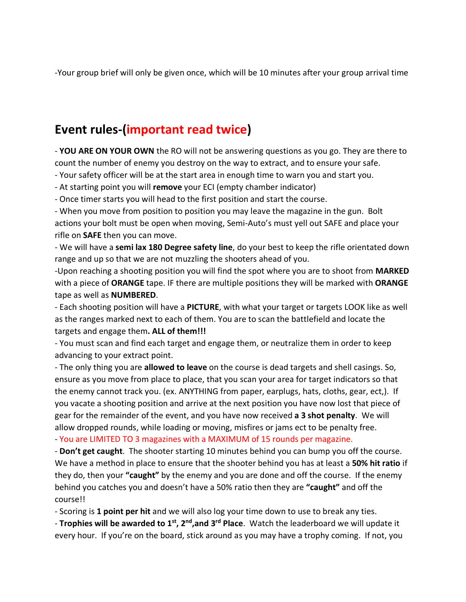-Your group brief will only be given once, which will be 10 minutes after your group arrival time

# **Event rules-(important read twice)**

- **YOU ARE ON YOUR OWN** the RO will not be answering questions as you go. They are there to count the number of enemy you destroy on the way to extract, and to ensure your safe.

- Your safety officer will be at the start area in enough time to warn you and start you.

- At starting point you will **remove** your ECI (empty chamber indicator)

- Once timer starts you will head to the first position and start the course.

- When you move from position to position you may leave the magazine in the gun. Bolt actions your bolt must be open when moving, Semi-Auto's must yell out SAFE and place your rifle on **SAFE** then you can move.

- We will have a **semi lax 180 Degree safety line**, do your best to keep the rifle orientated down range and up so that we are not muzzling the shooters ahead of you.

-Upon reaching a shooting position you will find the spot where you are to shoot from **MARKED** with a piece of **ORANGE** tape. IF there are multiple positions they will be marked with **ORANGE** tape as well as **NUMBERED**.

- Each shooting position will have a **PICTURE**, with what your target or targets LOOK like as well as the ranges marked next to each of them. You are to scan the battlefield and locate the targets and engage them**. ALL of them!!!**

- You must scan and find each target and engage them, or neutralize them in order to keep advancing to your extract point.

- The only thing you are **allowed to leave** on the course is dead targets and shell casings. So, ensure as you move from place to place, that you scan your area for target indicators so that the enemy cannot track you. (ex. ANYTHING from paper, earplugs, hats, cloths, gear, ect,). If you vacate a shooting position and arrive at the next position you have now lost that piece of gear for the remainder of the event, and you have now received **a 3 shot penalty**. We will allow dropped rounds, while loading or moving, misfires or jams ect to be penalty free.

- You are LIMITED TO 3 magazines with a MAXIMUM of 15 rounds per magazine.

- **Don't get caught**. The shooter starting 10 minutes behind you can bump you off the course. We have a method in place to ensure that the shooter behind you has at least a **50% hit ratio** if they do, then your **"caught"** by the enemy and you are done and off the course. If the enemy behind you catches you and doesn't have a 50% ratio then they are **"caught"** and off the course!!

- Scoring is **1 point per hit** and we will also log your time down to use to break any ties.

- **Trophies will be awarded to 1st, 2nd,and 3rd Place**. Watch the leaderboard we will update it every hour. If you're on the board, stick around as you may have a trophy coming. If not, you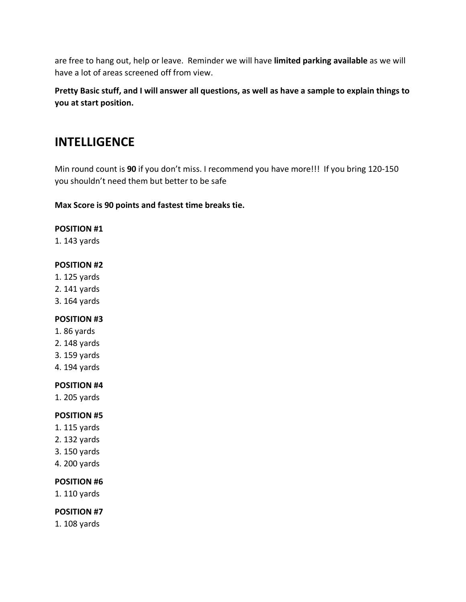are free to hang out, help or leave. Reminder we will have **limited parking available** as we will have a lot of areas screened off from view.

**Pretty Basic stuff, and I will answer all questions, as well as have a sample to explain things to you at start position.**

# **INTELLIGENCE**

Min round count is **90** if you don't miss. I recommend you have more!!! If you bring 120-150 you shouldn't need them but better to be safe

**Max Score is 90 points and fastest time breaks tie.**

#### **POSITION #1**

1. 143 yards

#### **POSITION #2**

- 1. 125 yards
- 2. 141 yards
- 3. 164 yards

### **POSITION #3**

- 1. 86 yards
- 2. 148 yards
- 3. 159 yards
- 4. 194 yards

#### **POSITION #4**

1. 205 yards

### **POSITION #5**

- 1. 115 yards
- 2. 132 yards
- 3. 150 yards
- 4. 200 yards

### **POSITION #6**

1. 110 yards

#### **POSITION #7**

1. 108 yards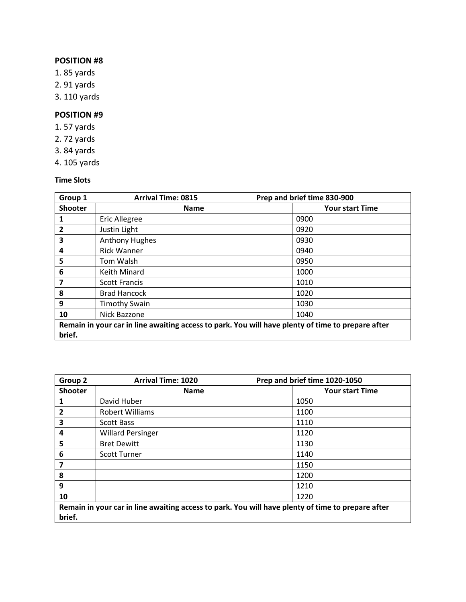### **POSITION #8**

- 1. 85 yards
- 2. 91 yards
- 3. 110 yards

## **POSITION #9**

- 1. 57 yards
- 2. 72 yards
- 3. 84 yards
- 4. 105 yards

#### **Time Slots**

| Group 1                                                                                           | <b>Arrival Time: 0815</b> | Prep and brief time 830-900 |  |  |
|---------------------------------------------------------------------------------------------------|---------------------------|-----------------------------|--|--|
| <b>Shooter</b>                                                                                    | <b>Name</b>               | <b>Your start Time</b>      |  |  |
| 1                                                                                                 | <b>Eric Allegree</b>      | 0900                        |  |  |
| 2                                                                                                 | Justin Light              | 0920                        |  |  |
| 3                                                                                                 | <b>Anthony Hughes</b>     | 0930                        |  |  |
| 4                                                                                                 | <b>Rick Wanner</b>        | 0940                        |  |  |
| 5                                                                                                 | Tom Walsh                 | 0950                        |  |  |
| 6                                                                                                 | <b>Keith Minard</b>       | 1000                        |  |  |
|                                                                                                   | <b>Scott Francis</b>      | 1010                        |  |  |
| 8                                                                                                 | <b>Brad Hancock</b>       | 1020                        |  |  |
| 9                                                                                                 | <b>Timothy Swain</b>      | 1030                        |  |  |
| 10                                                                                                | Nick Bazzone              | 1040                        |  |  |
| Remain in your car in line awaiting access to park. You will have plenty of time to prepare after |                           |                             |  |  |
| brief.                                                                                            |                           |                             |  |  |

| Group 2                                                                                           | <b>Arrival Time: 1020</b> | Prep and brief time 1020-1050 |  |  |
|---------------------------------------------------------------------------------------------------|---------------------------|-------------------------------|--|--|
| <b>Shooter</b>                                                                                    | <b>Name</b>               | <b>Your start Time</b>        |  |  |
|                                                                                                   | David Huber               | 1050                          |  |  |
| 2                                                                                                 | <b>Robert Williams</b>    | 1100                          |  |  |
| 3                                                                                                 | <b>Scott Bass</b>         | 1110                          |  |  |
| 4                                                                                                 | <b>Willard Persinger</b>  | 1120                          |  |  |
| 5                                                                                                 | <b>Bret Dewitt</b>        | 1130                          |  |  |
| 6                                                                                                 | <b>Scott Turner</b>       | 1140                          |  |  |
|                                                                                                   |                           | 1150                          |  |  |
| 8                                                                                                 |                           | 1200                          |  |  |
| 9                                                                                                 |                           | 1210                          |  |  |
| 10                                                                                                |                           | 1220                          |  |  |
| Remain in your car in line awaiting access to park. You will have plenty of time to prepare after |                           |                               |  |  |
| brief.                                                                                            |                           |                               |  |  |